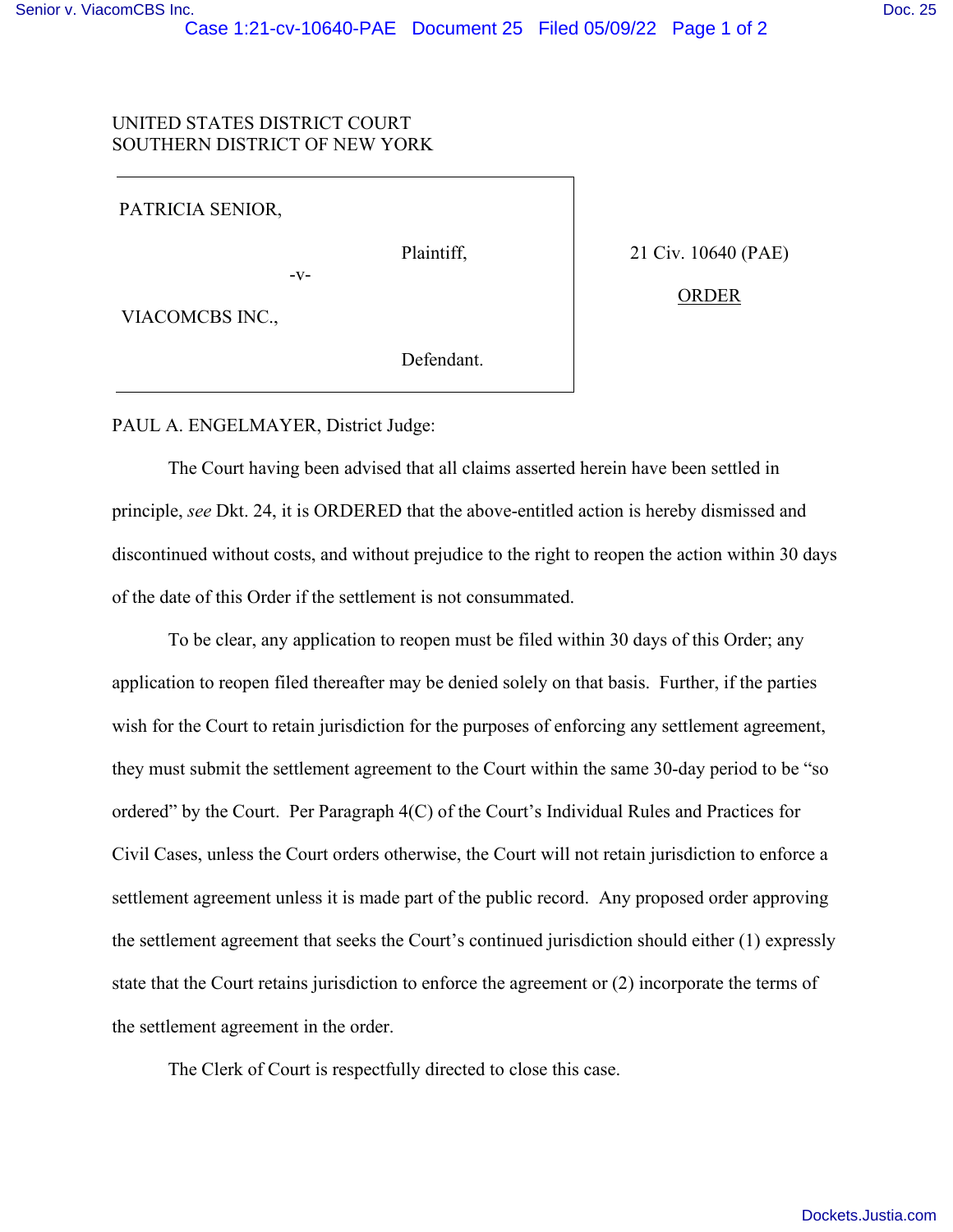## UNITED STATES DISTRICT COURT SOUTHERN DISTRICT OF NEW YORK

PATRICIA SENIOR,

-v-

Plaintiff,

21 Civ. 10640 (PAE)

ORDER

VIACOMCBS INC.,

Defendant.

PAUL A. ENGELMAYER, District Judge:

The Court having been advised that all claims asserted herein have been settled in principle, *see* Dkt. 24, it is ORDERED that the above-entitled action is hereby dismissed and discontinued without costs, and without prejudice to the right to reopen the action within 30 days of the date of this Order if the settlement is not consummated.

To be clear, any application to reopen must be filed within 30 days of this Order; any application to reopen filed thereafter may be denied solely on that basis. Further, if the parties wish for the Court to retain jurisdiction for the purposes of enforcing any settlement agreement, they must submit the settlement agreement to the Court within the same 30-day period to be "so ordered" by the Court. Per Paragraph 4(C) of the Court's Individual Rules and Practices for Civil Cases, unless the Court orders otherwise, the Court will not retain jurisdiction to enforce a settlement agreement unless it is made part of the public record. Any proposed order approving the settlement agreement that seeks the Court's continued jurisdiction should either (1) expressly state that the Court retains jurisdiction to enforce the agreement or (2) incorporate the terms of the settlement agreement in the order.

The Clerk of Court is respectfully directed to close this case.